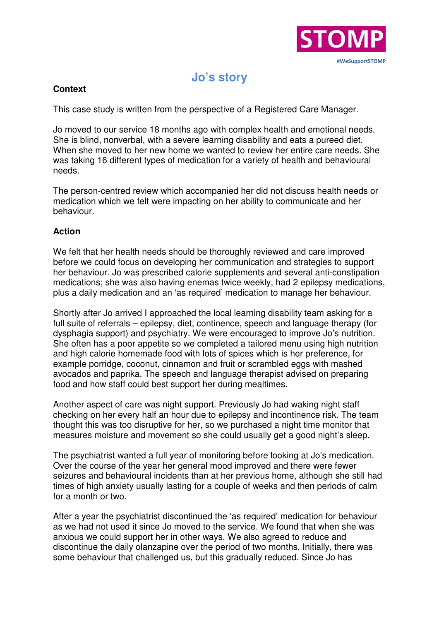

## **Jo's story**

## **Context**

This case study is written from the perspective of a Registered Care Manager.

Jo moved to our service 18 months ago with complex health and emotional needs. She is blind, nonverbal, with a severe learning disability and eats a pureed diet. When she moved to her new home we wanted to review her entire care needs. She was taking 16 different types of medication for a variety of health and behavioural needs.

The person-centred review which accompanied her did not discuss health needs or medication which we felt were impacting on her ability to communicate and her behaviour.

## **Action**

We felt that her health needs should be thoroughly reviewed and care improved before we could focus on developing her communication and strategies to support her behaviour. Jo was prescribed calorie supplements and several anti-constipation medications; she was also having enemas twice weekly, had 2 epilepsy medications, plus a daily medication and an 'as required' medication to manage her behaviour.

Shortly after Jo arrived I approached the local learning disability team asking for a full suite of referrals – epilepsy, diet, continence, speech and language therapy (for dysphagia support) and psychiatry. We were encouraged to improve Jo's nutrition. She often has a poor appetite so we completed a tailored menu using high nutrition and high calorie homemade food with lots of spices which is her preference, for example porridge, coconut, cinnamon and fruit or scrambled eggs with mashed avocados and paprika. The speech and language therapist advised on preparing food and how staff could best support her during mealtimes.

Another aspect of care was night support. Previously Jo had waking night staff checking on her every half an hour due to epilepsy and incontinence risk. The team thought this was too disruptive for her, so we purchased a night time monitor that measures moisture and movement so she could usually get a good night's sleep.

The psychiatrist wanted a full year of monitoring before looking at Jo's medication. Over the course of the year her general mood improved and there were fewer seizures and behavioural incidents than at her previous home, although she still had times of high anxiety usually lasting for a couple of weeks and then periods of calm for a month or two.

After a year the psychiatrist discontinued the 'as required' medication for behaviour as we had not used it since Jo moved to the service. We found that when she was anxious we could support her in other ways. We also agreed to reduce and discontinue the daily olanzapine over the period of two months. Initially, there was some behaviour that challenged us, but this gradually reduced. Since Jo has